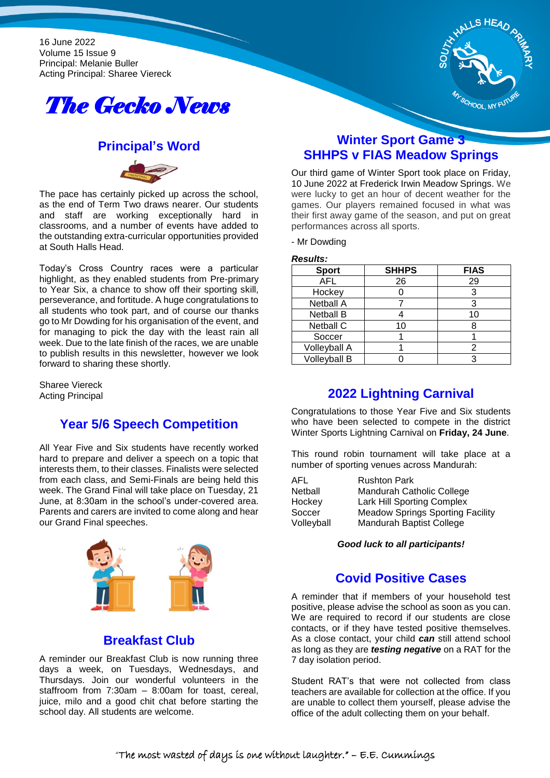16 June 2022 Volume 15 Issue 9 Principal: Melanie Buller Acting Principal: Sharee Viereck





#### **Principal's Word**



The pace has certainly picked up across the school, as the end of Term Two draws nearer. Our students and staff are working exceptionally hard in classrooms, and a number of events have added to the outstanding extra-curricular opportunities provided at South Halls Head.

Today's Cross Country races were a particular highlight, as they enabled students from Pre-primary to Year Six, a chance to show off their sporting skill, perseverance, and fortitude. A huge congratulations to all students who took part, and of course our thanks go to Mr Dowding for his organisation of the event, and for managing to pick the day with the least rain all week. Due to the late finish of the races, we are unable to publish results in this newsletter, however we look forward to sharing these shortly.

Sharee Viereck Acting Principal

## **Year 5/6 Speech Competition**

All Year Five and Six students have recently worked hard to prepare and deliver a speech on a topic that interests them, to their classes. Finalists were selected from each class, and Semi-Finals are being held this week. The Grand Final will take place on Tuesday, 21 June, at 8:30am in the school's under-covered area. Parents and carers are invited to come along and hear our Grand Final speeches.



# **Breakfast Club**

A reminder our Breakfast Club is now running three days a week, on Tuesdays, Wednesdays, and Thursdays. Join our wonderful volunteers in the staffroom from 7:30am – 8:00am for toast, cereal, juice, milo and a good chit chat before starting the school day. All students are welcome.

## **Winter Sport Game 3 SHHPS v FIAS Meadow Springs**

Our third game of Winter Sport took place on Friday, 10 June 2022 at Frederick Irwin Meadow Springs. We were lucky to get an hour of decent weather for the games. Our players remained focused in what was their first away game of the season, and put on great performances across all sports.

- Mr Dowding

*Results:*

| <b>Sport</b>        | <b>SHHPS</b> | <b>FIAS</b> |
|---------------------|--------------|-------------|
| <b>AFL</b>          | 26           | 29          |
| Hockey              |              |             |
| <b>Netball A</b>    |              |             |
| <b>Netball B</b>    |              | 10          |
| <b>Netball C</b>    | 10           |             |
| Soccer              |              |             |
| <b>Volleyball A</b> |              |             |
| Volleyball B        |              |             |

# **2022 Lightning Carnival**

Congratulations to those Year Five and Six students who have been selected to compete in the district Winter Sports Lightning Carnival on **Friday, 24 June**.

This round robin tournament will take place at a number of sporting venues across Mandurah:

| <b>Rushton Park</b>                     |
|-----------------------------------------|
| Mandurah Catholic College               |
| <b>Lark Hill Sporting Complex</b>       |
| <b>Meadow Springs Sporting Facility</b> |
| Mandurah Baptist College                |
|                                         |

*Good luck to all participants!*

## **Covid Positive Cases**

A reminder that if members of your household test positive, please advise the school as soon as you can. We are required to record if our students are close contacts, or if they have tested positive themselves. As a close contact, your child *can* still attend school as long as they are *testing negative* on a RAT for the 7 day isolation period.

Student RAT's that were not collected from class teachers are available for collection at the office. If you are unable to collect them yourself, please advise the office of the adult collecting them on your behalf.